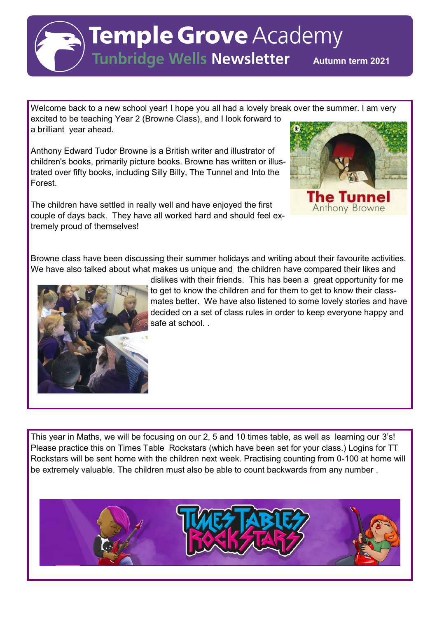

**Tunbridge Wells Newsletter** Autumn term 2021

Welcome back to a new school year! I hope you all had a lovely break over the summer. I am very excited to be teaching Year 2 (Browne Class), and I look forward to a brilliant year ahead.

Anthony Edward Tudor Browne is a British writer and illustrator of children's books, primarily picture books. Browne has written or illustrated over fifty books, including Silly Billy, The Tunnel and Into the Forest.

The children have settled in really well and have enjoyed the first couple of days back. They have all worked hard and should feel extremely proud of themselves!



Browne class have been discussing their summer holidays and writing about their favourite activities. We have also talked about what makes us unique and the children have compared their likes and



dislikes with their friends. This has been a great opportunity for me to get to know the children and for them to get to know their classmates better. We have also listened to some lovely stories and have decided on a set of class rules in order to keep everyone happy and safe at school. .

This year in Maths, we will be focusing on our 2, 5 and 10 times table, as well as learning our 3's! Please practice this on Times Table Rockstars (which have been set for your class.) Logins for TT Rockstars will be sent home with the children next week. Practising counting from 0-100 at home will be extremely valuable. The children must also be able to count backwards from any number .